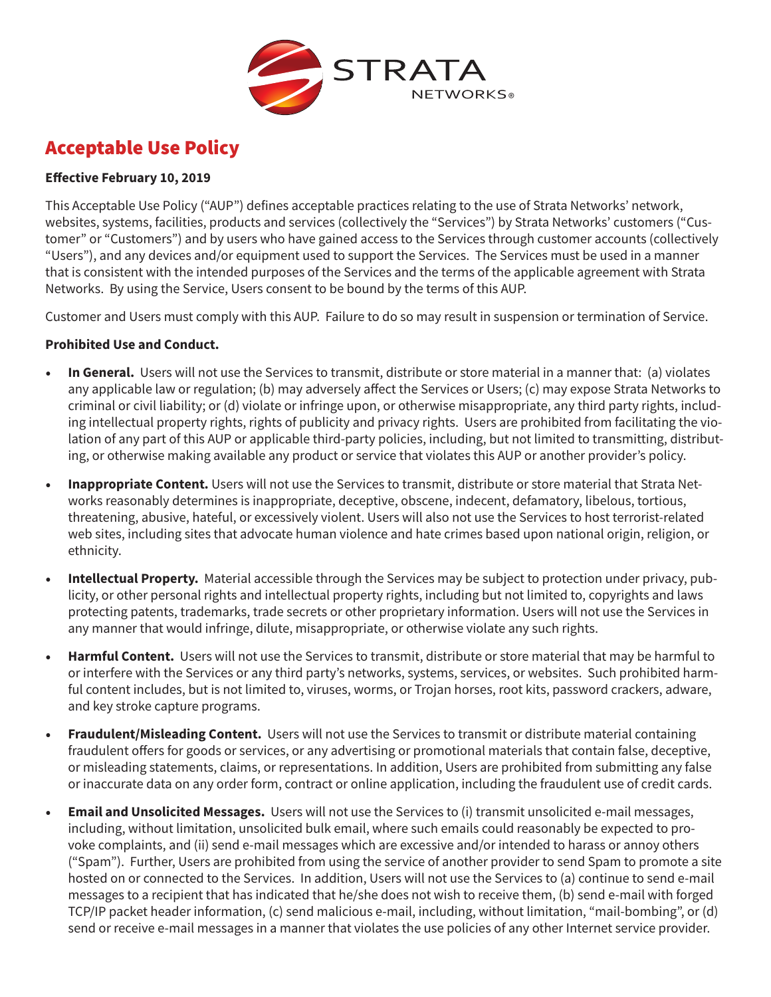

## Acceptable Use Policy

## **Effective February 10, 2019**

This Acceptable Use Policy ("AUP") defines acceptable practices relating to the use of Strata Networks' network, websites, systems, facilities, products and services (collectively the "Services") by Strata Networks' customers ("Customer" or "Customers") and by users who have gained access to the Services through customer accounts (collectively "Users"), and any devices and/or equipment used to support the Services. The Services must be used in a manner that is consistent with the intended purposes of the Services and the terms of the applicable agreement with Strata Networks. By using the Service, Users consent to be bound by the terms of this AUP.

Customer and Users must comply with this AUP. Failure to do so may result in suspension or termination of Service.

## **Prohibited Use and Conduct.**

- **In General.** Users will not use the Services to transmit, distribute or store material in a manner that: (a) violates any applicable law or regulation; (b) may adversely affect the Services or Users; (c) may expose Strata Networks to criminal or civil liability; or (d) violate or infringe upon, or otherwise misappropriate, any third party rights, including intellectual property rights, rights of publicity and privacy rights. Users are prohibited from facilitating the violation of any part of this AUP or applicable third-party policies, including, but not limited to transmitting, distributing, or otherwise making available any product or service that violates this AUP or another provider's policy.
- **Inappropriate Content.** Users will not use the Services to transmit, distribute or store material that Strata Networks reasonably determines is inappropriate, deceptive, obscene, indecent, defamatory, libelous, tortious, threatening, abusive, hateful, or excessively violent. Users will also not use the Services to host terrorist-related web sites, including sites that advocate human violence and hate crimes based upon national origin, religion, or ethnicity.
- **Intellectual Property.** Material accessible through the Services may be subject to protection under privacy, publicity, or other personal rights and intellectual property rights, including but not limited to, copyrights and laws protecting patents, trademarks, trade secrets or other proprietary information. Users will not use the Services in any manner that would infringe, dilute, misappropriate, or otherwise violate any such rights.
- **Harmful Content.** Users will not use the Services to transmit, distribute or store material that may be harmful to or interfere with the Services or any third party's networks, systems, services, or websites. Such prohibited harmful content includes, but is not limited to, viruses, worms, or Trojan horses, root kits, password crackers, adware, and key stroke capture programs.
- **Fraudulent/Misleading Content.** Users will not use the Services to transmit or distribute material containing fraudulent offers for goods or services, or any advertising or promotional materials that contain false, deceptive, or misleading statements, claims, or representations. In addition, Users are prohibited from submitting any false or inaccurate data on any order form, contract or online application, including the fraudulent use of credit cards.
- **Email and Unsolicited Messages.** Users will not use the Services to (i) transmit unsolicited e-mail messages, including, without limitation, unsolicited bulk email, where such emails could reasonably be expected to provoke complaints, and (ii) send e-mail messages which are excessive and/or intended to harass or annoy others ("Spam"). Further, Users are prohibited from using the service of another provider to send Spam to promote a site hosted on or connected to the Services. In addition, Users will not use the Services to (a) continue to send e-mail messages to a recipient that has indicated that he/she does not wish to receive them, (b) send e-mail with forged TCP/IP packet header information, (c) send malicious e-mail, including, without limitation, "mail-bombing", or (d) send or receive e-mail messages in a manner that violates the use policies of any other Internet service provider.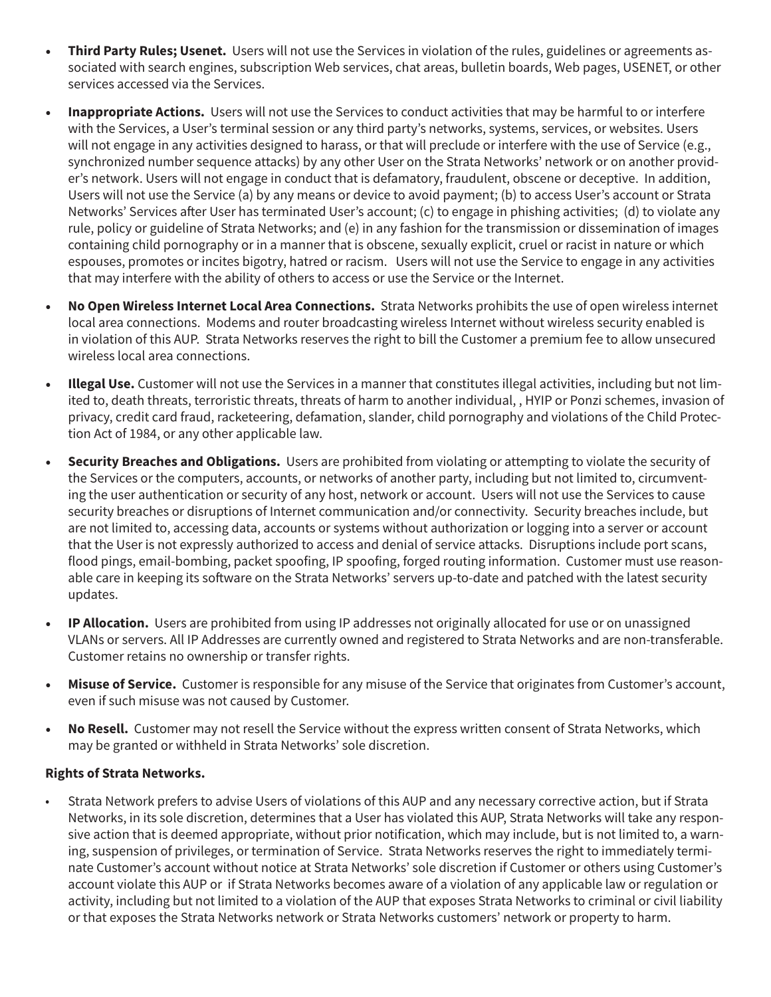- **Third Party Rules; Usenet.** Users will not use the Services in violation of the rules, guidelines or agreements associated with search engines, subscription Web services, chat areas, bulletin boards, Web pages, USENET, or other services accessed via the Services.
- **Inappropriate Actions.** Users will not use the Services to conduct activities that may be harmful to or interfere with the Services, a User's terminal session or any third party's networks, systems, services, or websites. Users will not engage in any activities designed to harass, or that will preclude or interfere with the use of Service (e.g., synchronized number sequence attacks) by any other User on the Strata Networks' network or on another provider's network. Users will not engage in conduct that is defamatory, fraudulent, obscene or deceptive. In addition, Users will not use the Service (a) by any means or device to avoid payment; (b) to access User's account or Strata Networks' Services after User has terminated User's account; (c) to engage in phishing activities; (d) to violate any rule, policy or guideline of Strata Networks; and (e) in any fashion for the transmission or dissemination of images containing child pornography or in a manner that is obscene, sexually explicit, cruel or racist in nature or which espouses, promotes or incites bigotry, hatred or racism. Users will not use the Service to engage in any activities that may interfere with the ability of others to access or use the Service or the Internet.
- **No Open Wireless Internet Local Area Connections.** Strata Networks prohibits the use of open wireless internet local area connections. Modems and router broadcasting wireless Internet without wireless security enabled is in violation of this AUP. Strata Networks reserves the right to bill the Customer a premium fee to allow unsecured wireless local area connections.
- **Illegal Use.** Customer will not use the Services in a manner that constitutes illegal activities, including but not limited to, death threats, terroristic threats, threats of harm to another individual, , HYIP or Ponzi schemes, invasion of privacy, credit card fraud, racketeering, defamation, slander, child pornography and violations of the Child Protection Act of 1984, or any other applicable law.
- **Security Breaches and Obligations.** Users are prohibited from violating or attempting to violate the security of the Services or the computers, accounts, or networks of another party, including but not limited to, circumventing the user authentication or security of any host, network or account. Users will not use the Services to cause security breaches or disruptions of Internet communication and/or connectivity. Security breaches include, but are not limited to, accessing data, accounts or systems without authorization or logging into a server or account that the User is not expressly authorized to access and denial of service attacks. Disruptions include port scans, flood pings, email-bombing, packet spoofing, IP spoofing, forged routing information. Customer must use reasonable care in keeping its software on the Strata Networks' servers up-to-date and patched with the latest security updates.
- **IP Allocation.** Users are prohibited from using IP addresses not originally allocated for use or on unassigned VLANs or servers. All IP Addresses are currently owned and registered to Strata Networks and are non-transferable. Customer retains no ownership or transfer rights.
- **Misuse of Service.** Customer is responsible for any misuse of the Service that originates from Customer's account, even if such misuse was not caused by Customer.
- **No Resell.** Customer may not resell the Service without the express written consent of Strata Networks, which may be granted or withheld in Strata Networks' sole discretion.

## **Rights of Strata Networks.**

• Strata Network prefers to advise Users of violations of this AUP and any necessary corrective action, but if Strata Networks, in its sole discretion, determines that a User has violated this AUP, Strata Networks will take any responsive action that is deemed appropriate, without prior notification, which may include, but is not limited to, a warning, suspension of privileges, or termination of Service. Strata Networks reserves the right to immediately terminate Customer's account without notice at Strata Networks' sole discretion if Customer or others using Customer's account violate this AUP or if Strata Networks becomes aware of a violation of any applicable law or regulation or activity, including but not limited to a violation of the AUP that exposes Strata Networks to criminal or civil liability or that exposes the Strata Networks network or Strata Networks customers' network or property to harm.